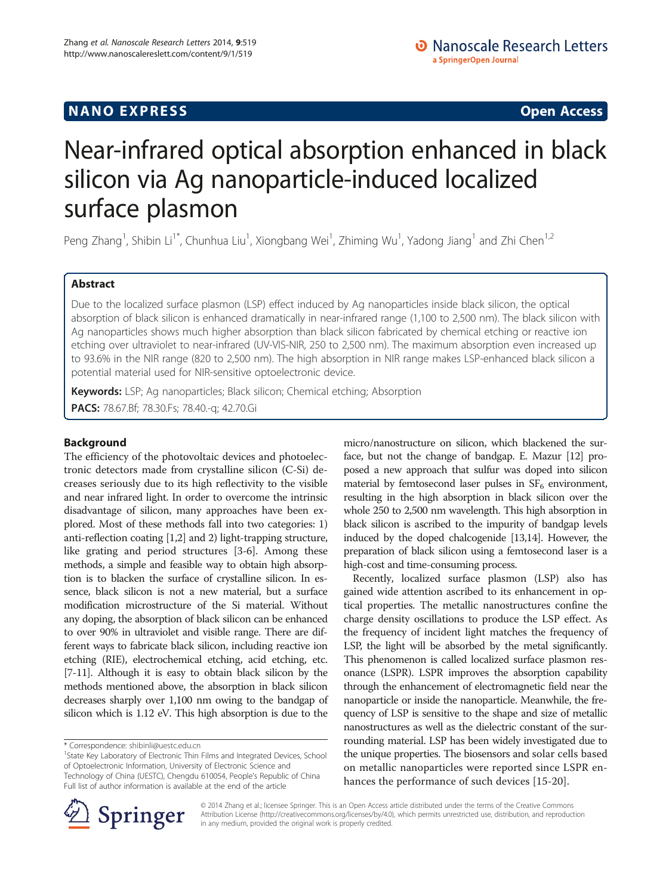## **NANO EXPRESS** Open Access **CONTROL**

# Near-infrared optical absorption enhanced in black silicon via Ag nanoparticle-induced localized surface plasmon

Peng Zhang<sup>1</sup>, Shibin Li<sup>1\*</sup>, Chunhua Liu<sup>1</sup>, Xiongbang Wei<sup>1</sup>, Zhiming Wu<sup>1</sup>, Yadong Jiang<sup>1</sup> and Zhi Chen<sup>1,2</sup>

## Abstract

Due to the localized surface plasmon (LSP) effect induced by Ag nanoparticles inside black silicon, the optical absorption of black silicon is enhanced dramatically in near-infrared range (1,100 to 2,500 nm). The black silicon with Ag nanoparticles shows much higher absorption than black silicon fabricated by chemical etching or reactive ion etching over ultraviolet to near-infrared (UV-VIS-NIR, 250 to 2,500 nm). The maximum absorption even increased up to 93.6% in the NIR range (820 to 2,500 nm). The high absorption in NIR range makes LSP-enhanced black silicon a potential material used for NIR-sensitive optoelectronic device.

Keywords: LSP; Ag nanoparticles; Black silicon; Chemical etching; Absorption PACS: 78.67.Bf; 78.30.Fs; 78.40.-q; 42.70.Gi

## Background

The efficiency of the photovoltaic devices and photoelectronic detectors made from crystalline silicon (C-Si) decreases seriously due to its high reflectivity to the visible and near infrared light. In order to overcome the intrinsic disadvantage of silicon, many approaches have been explored. Most of these methods fall into two categories: 1) anti-reflection coating [\[1,2\]](#page-4-0) and 2) light-trapping structure, like grating and period structures [\[3](#page-4-0)-[6](#page-4-0)]. Among these methods, a simple and feasible way to obtain high absorption is to blacken the surface of crystalline silicon. In essence, black silicon is not a new material, but a surface modification microstructure of the Si material. Without any doping, the absorption of black silicon can be enhanced to over 90% in ultraviolet and visible range. There are different ways to fabricate black silicon, including reactive ion etching (RIE), electrochemical etching, acid etching, etc. [[7](#page-4-0)-[11](#page-4-0)]. Although it is easy to obtain black silicon by the methods mentioned above, the absorption in black silicon decreases sharply over 1,100 nm owing to the bandgap of silicon which is 1.12 eV. This high absorption is due to the

micro/nanostructure on silicon, which blackened the surface, but not the change of bandgap. E. Mazur [\[12](#page-4-0)] proposed a new approach that sulfur was doped into silicon material by femtosecond laser pulses in  $SF<sub>6</sub>$  environment, resulting in the high absorption in black silicon over the whole 250 to 2,500 nm wavelength. This high absorption in black silicon is ascribed to the impurity of bandgap levels induced by the doped chalcogenide [[13,14](#page-4-0)]. However, the preparation of black silicon using a femtosecond laser is a high-cost and time-consuming process.

Recently, localized surface plasmon (LSP) also has gained wide attention ascribed to its enhancement in optical properties. The metallic nanostructures confine the charge density oscillations to produce the LSP effect. As the frequency of incident light matches the frequency of LSP, the light will be absorbed by the metal significantly. This phenomenon is called localized surface plasmon resonance (LSPR). LSPR improves the absorption capability through the enhancement of electromagnetic field near the nanoparticle or inside the nanoparticle. Meanwhile, the frequency of LSP is sensitive to the shape and size of metallic nanostructures as well as the dielectric constant of the surrounding material. LSP has been widely investigated due to the unique properties. The biosensors and solar cells based on metallic nanoparticles were reported since LSPR enhances the performance of such devices [[15-20](#page-4-0)].



© 2014 Zhang et al.; licensee Springer. This is an Open Access article distributed under the terms of the Creative Commons Attribution License [\(http://creativecommons.org/licenses/by/4.0\)](http://creativecommons.org/licenses/by/4.0), which permits unrestricted use, distribution, and reproduction in any medium, provided the original work is properly credited.

<sup>\*</sup> Correspondence: [shibinli@uestc.edu.cn](mailto:shibinli@uestc.edu.cn) <sup>1</sup>

<sup>&</sup>lt;sup>1</sup>State Key Laboratory of Electronic Thin Films and Integrated Devices, School of Optoelectronic Information, University of Electronic Science and Technology of China (UESTC), Chengdu 610054, People's Republic of China Full list of author information is available at the end of the article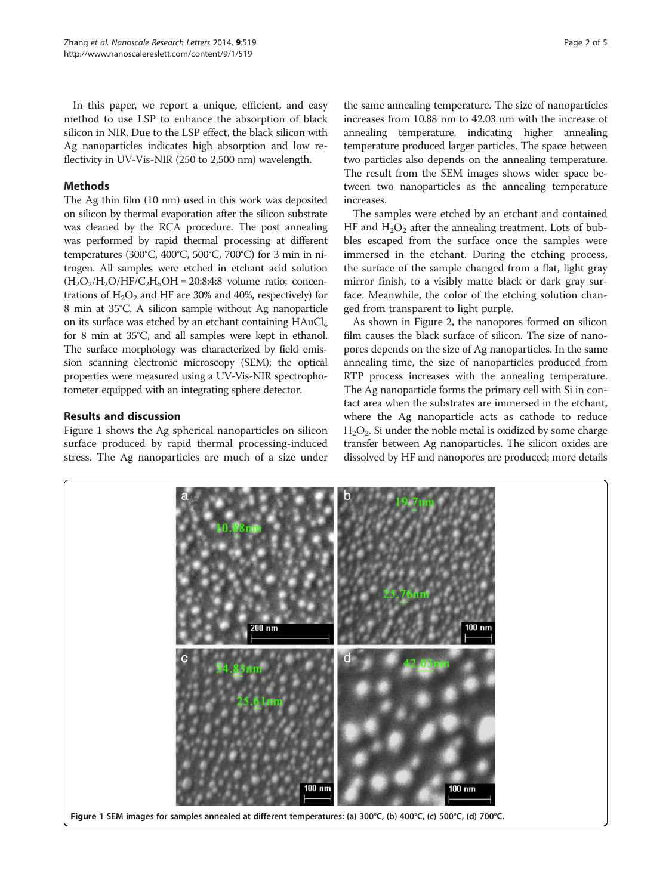<span id="page-1-0"></span>In this paper, we report a unique, efficient, and easy method to use LSP to enhance the absorption of black silicon in NIR. Due to the LSP effect, the black silicon with Ag nanoparticles indicates high absorption and low reflectivity in UV-Vis-NIR (250 to 2,500 nm) wavelength.

## Methods

The Ag thin film (10 nm) used in this work was deposited on silicon by thermal evaporation after the silicon substrate was cleaned by the RCA procedure. The post annealing was performed by rapid thermal processing at different temperatures (300°C, 400°C, 500°C, 700°C) for 3 min in nitrogen. All samples were etched in etchant acid solution  $(H<sub>2</sub>O<sub>2</sub>/H<sub>2</sub>O/HF/C<sub>2</sub>H<sub>5</sub>OH = 20:8:4:8$  volume ratio; concentrations of  $H_2O_2$  and HF are 30% and 40%, respectively) for 8 min at 35°C. A silicon sample without Ag nanoparticle on its surface was etched by an etchant containing HAuCl<sub>4</sub> for 8 min at 35°C, and all samples were kept in ethanol. The surface morphology was characterized by field emission scanning electronic microscopy (SEM); the optical properties were measured using a UV-Vis-NIR spectrophotometer equipped with an integrating sphere detector.

## Results and discussion

Figure 1 shows the Ag spherical nanoparticles on silicon surface produced by rapid thermal processing-induced stress. The Ag nanoparticles are much of a size under

the same annealing temperature. The size of nanoparticles increases from 10.88 nm to 42.03 nm with the increase of annealing temperature, indicating higher annealing temperature produced larger particles. The space between two particles also depends on the annealing temperature. The result from the SEM images shows wider space between two nanoparticles as the annealing temperature increases.

The samples were etched by an etchant and contained HF and  $H_2O_2$  after the annealing treatment. Lots of bubbles escaped from the surface once the samples were immersed in the etchant. During the etching process, the surface of the sample changed from a flat, light gray mirror finish, to a visibly matte black or dark gray surface. Meanwhile, the color of the etching solution changed from transparent to light purple.

As shown in Figure [2,](#page-2-0) the nanopores formed on silicon film causes the black surface of silicon. The size of nanopores depends on the size of Ag nanoparticles. In the same annealing time, the size of nanoparticles produced from RTP process increases with the annealing temperature. The Ag nanoparticle forms the primary cell with Si in contact area when the substrates are immersed in the etchant, where the Ag nanoparticle acts as cathode to reduce  $H<sub>2</sub>O<sub>2</sub>$ . Si under the noble metal is oxidized by some charge transfer between Ag nanoparticles. The silicon oxides are dissolved by HF and nanopores are produced; more details

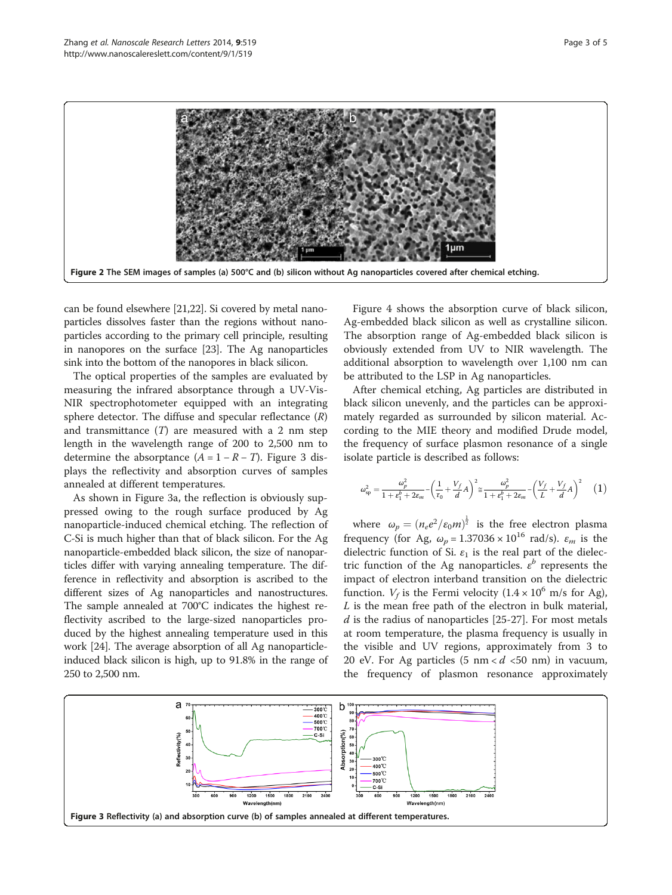<span id="page-2-0"></span>

can be found elsewhere [[21,22\]](#page-4-0). Si covered by metal nanoparticles dissolves faster than the regions without nanoparticles according to the primary cell principle, resulting in nanopores on the surface [\[23\]](#page-4-0). The Ag nanoparticles sink into the bottom of the nanopores in black silicon.

The optical properties of the samples are evaluated by measuring the infrared absorptance through a UV-Vis-NIR spectrophotometer equipped with an integrating sphere detector. The diffuse and specular reflectance  $(R)$ and transmittance  $(T)$  are measured with a 2 nm step length in the wavelength range of 200 to 2,500 nm to determine the absorptance  $(A = 1 - R - T)$ . Figure 3 displays the reflectivity and absorption curves of samples annealed at different temperatures.

As shown in Figure 3a, the reflection is obviously suppressed owing to the rough surface produced by Ag nanoparticle-induced chemical etching. The reflection of C-Si is much higher than that of black silicon. For the Ag nanoparticle-embedded black silicon, the size of nanoparticles differ with varying annealing temperature. The difference in reflectivity and absorption is ascribed to the different sizes of Ag nanoparticles and nanostructures. The sample annealed at 700°C indicates the highest reflectivity ascribed to the large-sized nanoparticles produced by the highest annealing temperature used in this work [\[24\]](#page-4-0). The average absorption of all Ag nanoparticleinduced black silicon is high, up to 91.8% in the range of 250 to 2,500 nm.

Figure [4](#page-3-0) shows the absorption curve of black silicon, Ag-embedded black silicon as well as crystalline silicon. The absorption range of Ag-embedded black silicon is obviously extended from UV to NIR wavelength. The additional absorption to wavelength over 1,100 nm can be attributed to the LSP in Ag nanoparticles.

After chemical etching, Ag particles are distributed in black silicon unevenly, and the particles can be approximately regarded as surrounded by silicon material. According to the MIE theory and modified Drude model, the frequency of surface plasmon resonance of a single isolate particle is described as follows:

$$
\omega_{\rm sp}^2 = \frac{\omega_p^2}{1+\varepsilon_1^b+2\varepsilon_m} - \left(\frac{1}{r_0} + \frac{V_f}{d}A\right)^2 \approx \frac{\omega_p^2}{1+\varepsilon_1^b+2\varepsilon_m} - \left(\frac{V_f}{L} + \frac{V_f}{d}A\right)^2 \quad \ \ (1)
$$

where  $\omega_p = (n_e e^2 / \epsilon_0 m)^{\frac{1}{2}}$  is the free electron plasma frequency (for Ag,  $\omega_p = 1.37036 \times 10^{16}$  rad/s).  $\varepsilon_m$  is the dielectric function of Si.  $\varepsilon_1$  is the real part of the dielectric function of the Ag nanoparticles.  $\epsilon^b$  represents the impact of electron interband transition on the dielectric function.  $V_f$  is the Fermi velocity  $(1.4 \times 10^6 \text{ m/s}$  for Ag), L is the mean free path of the electron in bulk material,  $d$  is the radius of nanoparticles [[25](#page-4-0)-[27\]](#page-4-0). For most metals at room temperature, the plasma frequency is usually in the visible and UV regions, approximately from 3 to 20 eV. For Ag particles  $(5 \text{ nm} < d < 50 \text{ nm})$  in vacuum, the frequency of plasmon resonance approximately

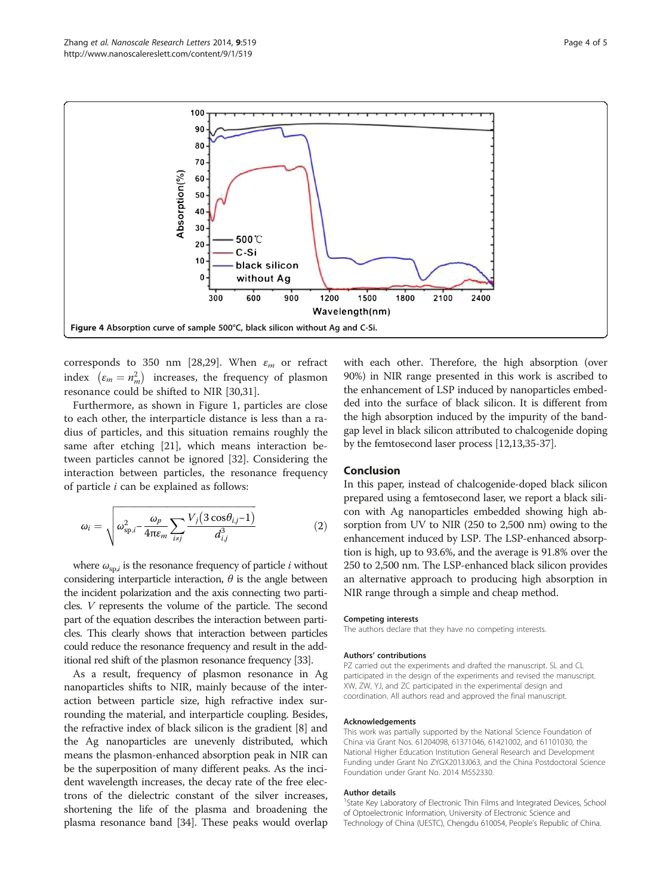<span id="page-3-0"></span>

corresponds to 350 nm [[28](#page-4-0),[29](#page-4-0)]. When  $\varepsilon_m$  or refract index  $(\varepsilon_m = n_m^2)$  increases, the frequency of plasmon resonance could be shifted to NIR [\[30,31\]](#page-4-0).

Furthermore, as shown in Figure [1,](#page-1-0) particles are close to each other, the interparticle distance is less than a radius of particles, and this situation remains roughly the same after etching [[21](#page-4-0)], which means interaction between particles cannot be ignored [[32](#page-4-0)]. Considering the interaction between particles, the resonance frequency of particle  $i$  can be explained as follows:

$$
\omega_i = \sqrt{\omega_{\text{sp},i}^2 - \frac{\omega_p}{4\pi\varepsilon_m} \sum_{i \neq j} \frac{V_j \left(3\cos\theta_{i,j} - 1\right)}{d_{i,j}^3}}
$$
(2)

where  $\omega_{\text{sp},i}$  is the resonance frequency of particle *i* without considering interparticle interaction,  $\theta$  is the angle between the incident polarization and the axis connecting two particles. V represents the volume of the particle. The second part of the equation describes the interaction between particles. This clearly shows that interaction between particles could reduce the resonance frequency and result in the additional red shift of the plasmon resonance frequency [\[33\]](#page-4-0).

As a result, frequency of plasmon resonance in Ag nanoparticles shifts to NIR, mainly because of the interaction between particle size, high refractive index surrounding the material, and interparticle coupling. Besides, the refractive index of black silicon is the gradient [[8\]](#page-4-0) and the Ag nanoparticles are unevenly distributed, which means the plasmon-enhanced absorption peak in NIR can be the superposition of many different peaks. As the incident wavelength increases, the decay rate of the free electrons of the dielectric constant of the silver increases, shortening the life of the plasma and broadening the plasma resonance band [[34](#page-4-0)]. These peaks would overlap with each other. Therefore, the high absorption (over 90%) in NIR range presented in this work is ascribed to the enhancement of LSP induced by nanoparticles embedded into the surface of black silicon. It is different from the high absorption induced by the impurity of the bandgap level in black silicon attributed to chalcogenide doping by the femtosecond laser process [\[12,13,35-37](#page-4-0)].

#### Conclusion

In this paper, instead of chalcogenide-doped black silicon prepared using a femtosecond laser, we report a black silicon with Ag nanoparticles embedded showing high absorption from UV to NIR (250 to 2,500 nm) owing to the enhancement induced by LSP. The LSP-enhanced absorption is high, up to 93.6%, and the average is 91.8% over the 250 to 2,500 nm. The LSP-enhanced black silicon provides an alternative approach to producing high absorption in NIR range through a simple and cheap method.

#### Competing interests

The authors declare that they have no competing interests.

#### Authors' contributions

PZ carried out the experiments and drafted the manuscript. SL and CL participated in the design of the experiments and revised the manuscript. XW, ZW, YJ, and ZC participated in the experimental design and coordination. All authors read and approved the final manuscript.

#### Acknowledgements

This work was partially supported by the National Science Foundation of China via Grant Nos. 61204098, 61371046, 61421002, and 61101030, the National Higher Education Institution General Research and Development Funding under Grant No ZYGX2013J063, and the China Postdoctoral Science Foundation under Grant No. 2014 M552330.

#### Author details

<sup>1</sup>State Key Laboratory of Electronic Thin Films and Integrated Devices, School of Optoelectronic Information, University of Electronic Science and Technology of China (UESTC), Chengdu 610054, People's Republic of China.